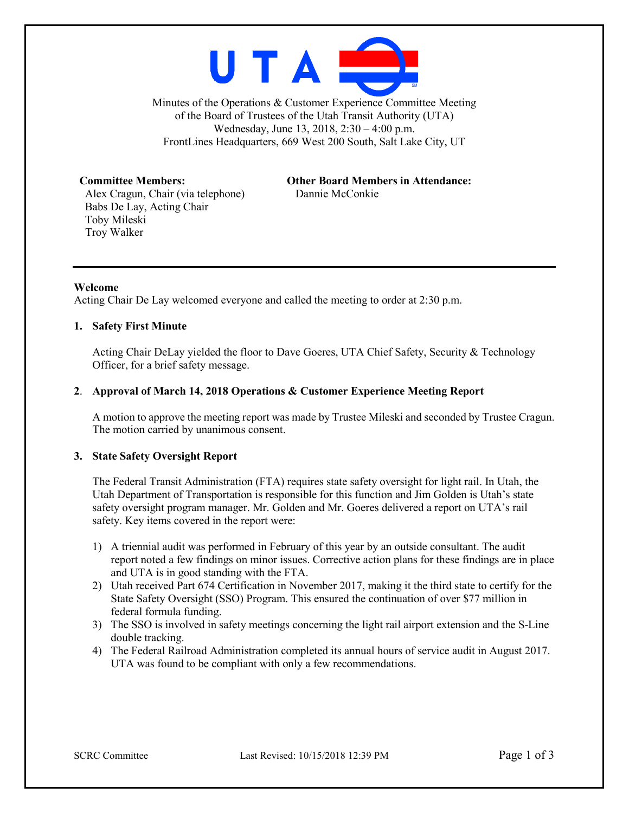

Minutes of the Operations & Customer Experience Committee Meeting of the Board of Trustees of the Utah Transit Authority (UTA) Wednesday, June 13, 2018, 2:30 – 4:00 p.m. FrontLines Headquarters, 669 West 200 South, Salt Lake City, UT

Alex Cragun, Chair (via telephone) Dannie McConkie Babs De Lay, Acting Chair Toby Mileski Troy Walker

**Committee Members: Other Board Members in Attendance:**

# **Welcome**

Acting Chair De Lay welcomed everyone and called the meeting to order at 2:30 p.m.

#### **1. Safety First Minute**

Acting Chair DeLay yielded the floor to Dave Goeres, UTA Chief Safety, Security & Technology Officer, for a brief safety message.

#### **2**. **Approval of March 14, 2018 Operations & Customer Experience Meeting Report**

A motion to approve the meeting report was made by Trustee Mileski and seconded by Trustee Cragun. The motion carried by unanimous consent.

### **3. State Safety Oversight Report**

The Federal Transit Administration (FTA) requires state safety oversight for light rail. In Utah, the Utah Department of Transportation is responsible for this function and Jim Golden is Utah's state safety oversight program manager. Mr. Golden and Mr. Goeres delivered a report on UTA's rail safety. Key items covered in the report were:

- 1) A triennial audit was performed in February of this year by an outside consultant. The audit report noted a few findings on minor issues. Corrective action plans for these findings are in place and UTA is in good standing with the FTA.
- 2) Utah received Part 674 Certification in November 2017, making it the third state to certify for the State Safety Oversight (SSO) Program. This ensured the continuation of over \$77 million in federal formula funding.
- 3) The SSO is involved in safety meetings concerning the light rail airport extension and the S-Line double tracking.
- 4) The Federal Railroad Administration completed its annual hours of service audit in August 2017. UTA was found to be compliant with only a few recommendations.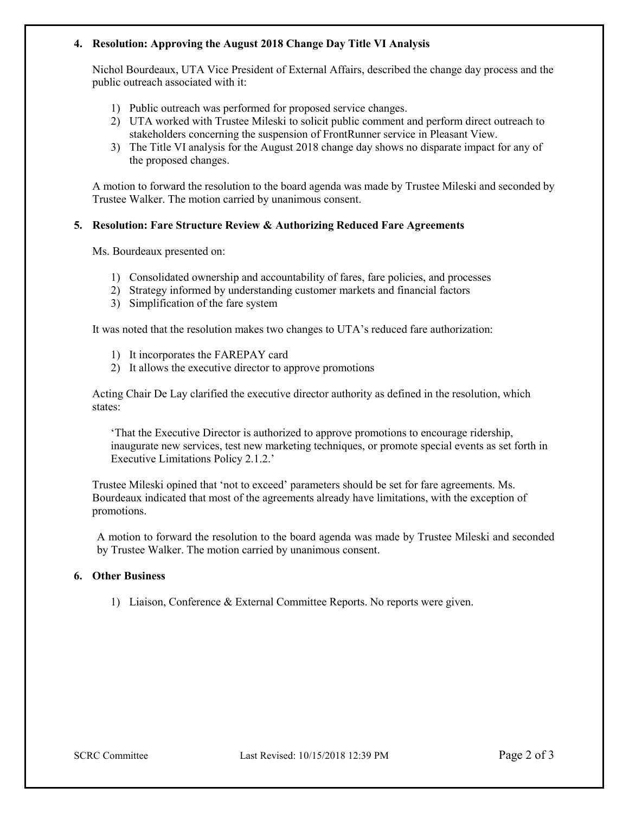## **4. Resolution: Approving the August 2018 Change Day Title VI Analysis**

Nichol Bourdeaux, UTA Vice President of External Affairs, described the change day process and the public outreach associated with it:

- 1) Public outreach was performed for proposed service changes.
- 2) UTA worked with Trustee Mileski to solicit public comment and perform direct outreach to stakeholders concerning the suspension of FrontRunner service in Pleasant View.
- 3) The Title VI analysis for the August 2018 change day shows no disparate impact for any of the proposed changes.

A motion to forward the resolution to the board agenda was made by Trustee Mileski and seconded by Trustee Walker. The motion carried by unanimous consent.

## **5. Resolution: Fare Structure Review & Authorizing Reduced Fare Agreements**

Ms. Bourdeaux presented on:

- 1) Consolidated ownership and accountability of fares, fare policies, and processes
- 2) Strategy informed by understanding customer markets and financial factors
- 3) Simplification of the fare system

It was noted that the resolution makes two changes to UTA's reduced fare authorization:

- 1) It incorporates the FAREPAY card
- 2) It allows the executive director to approve promotions

Acting Chair De Lay clarified the executive director authority as defined in the resolution, which states:

'That the Executive Director is authorized to approve promotions to encourage ridership, inaugurate new services, test new marketing techniques, or promote special events as set forth in Executive Limitations Policy 2.1.2.'

Trustee Mileski opined that 'not to exceed' parameters should be set for fare agreements. Ms. Bourdeaux indicated that most of the agreements already have limitations, with the exception of promotions.

A motion to forward the resolution to the board agenda was made by Trustee Mileski and seconded by Trustee Walker. The motion carried by unanimous consent.

### **6. Other Business**

1) Liaison, Conference & External Committee Reports. No reports were given.